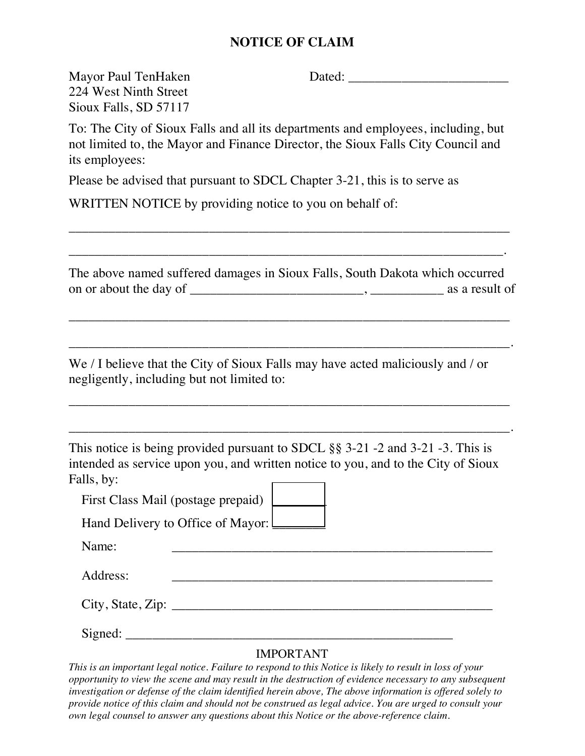## **NOTICE OF CLAIM**

Mayor Paul TenHaken Dated:

224 West Ninth Street Sioux Falls, SD 57117

To: The City of Sioux Falls and all its departments and employees, including, but not limited to, the Mayor and Finance Director, the Sioux Falls City Council and its employees:

Please be advised that pursuant to SDCL Chapter 3-21, this is to serve as

WRITTEN NOTICE by providing notice to you on behalf of:

The above named suffered damages in Sioux Falls, South Dakota which occurred on or about the day of \_\_\_\_\_\_\_\_\_\_\_\_\_\_\_\_\_\_\_\_\_\_\_\_\_\_, \_\_\_\_\_\_\_\_\_\_\_ as a result of

\_\_\_\_\_\_\_\_\_\_\_\_\_\_\_\_\_\_\_\_\_\_\_\_\_\_\_\_\_\_\_\_\_\_\_\_\_\_\_\_\_\_\_\_\_\_\_\_\_\_\_\_\_\_\_\_\_\_\_\_\_\_\_\_\_\_

\_\_\_\_\_\_\_\_\_\_\_\_\_\_\_\_\_\_\_\_\_\_\_\_\_\_\_\_\_\_\_\_\_\_\_\_\_\_\_\_\_\_\_\_\_\_\_\_\_\_\_\_\_\_\_\_\_\_\_\_\_\_\_\_\_\_.

\_\_\_\_\_\_\_\_\_\_\_\_\_\_\_\_\_\_\_\_\_\_\_\_\_\_\_\_\_\_\_\_\_\_\_\_\_\_\_\_\_\_\_\_\_\_\_\_\_\_\_\_\_\_\_\_\_\_\_\_\_\_\_\_\_\_

\_\_\_\_\_\_\_\_\_\_\_\_\_\_\_\_\_\_\_\_\_\_\_\_\_\_\_\_\_\_\_\_\_\_\_\_\_\_\_\_\_\_\_\_\_\_\_\_\_\_\_\_\_\_\_\_\_\_\_\_\_\_\_\_\_\_.

\_\_\_\_\_\_\_\_\_\_\_\_\_\_\_\_\_\_\_\_\_\_\_\_\_\_\_\_\_\_\_\_\_\_\_\_\_\_\_\_\_\_\_\_\_\_\_\_\_\_\_\_\_\_\_\_\_\_\_\_\_\_\_\_\_\_

\_\_\_\_\_\_\_\_\_\_\_\_\_\_\_\_\_\_\_\_\_\_\_\_\_\_\_\_\_\_\_\_\_\_\_\_\_\_\_\_\_\_\_\_\_\_\_\_\_\_\_\_\_\_\_\_\_\_\_\_\_\_\_\_\_.

We / I believe that the City of Sioux Falls may have acted maliciously and / or negligently, including but not limited to:

This notice is being provided pursuant to SDCL §§ 3-21 -2 and 3-21 -3. This is intended as service upon you, and written notice to you, and to the City of Sioux Falls, by:

First Class Mail (postage prepaid) [

Hand Delivery to Office of Mayor:

Name:

Address: \_\_\_\_\_\_\_\_\_\_\_\_\_\_\_\_\_\_\_\_\_\_\_\_\_\_\_\_\_\_\_\_\_\_\_\_\_\_\_\_\_\_\_\_\_\_\_\_

 $City, State, Zip:$ 

Signed: \_\_\_\_\_\_\_\_\_\_\_\_\_\_\_\_\_\_\_\_\_\_\_\_\_\_\_\_\_\_\_\_\_\_\_\_\_\_\_\_\_\_\_\_\_\_\_\_\_

## IMPORTANT

*This is an important legal notice. Failure to respond to this Notice is likely to result in loss of your opportunity to view the scene and may result in the destruction of evidence necessary to any subsequent investigation or defense of the claim identified herein above, The above information is offered solely to provide notice of this claim and should not be construed as legal advice. You are urged to consult your own legal counsel to answer any questions about this Notice or the above-reference claim.*